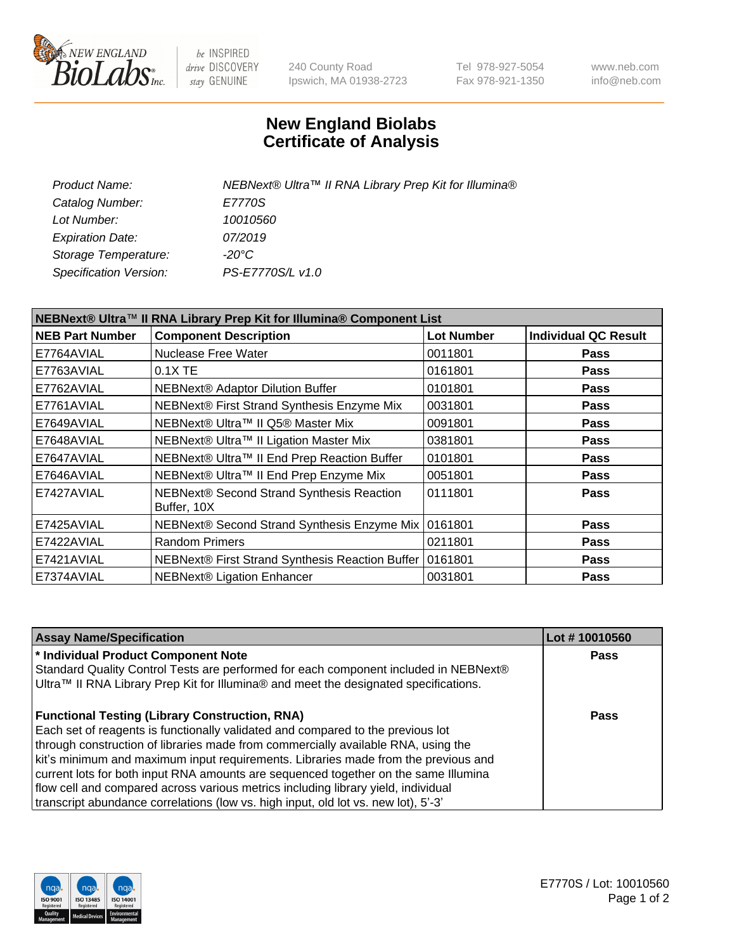

be INSPIRED drive DISCOVERY stay GENUINE

240 County Road Ipswich, MA 01938-2723 Tel 978-927-5054 Fax 978-921-1350 www.neb.com info@neb.com

## **New England Biolabs Certificate of Analysis**

| Product Name:           | NEBNext® Ultra™ II RNA Library Prep Kit for Illumina® |
|-------------------------|-------------------------------------------------------|
| Catalog Number:         | E7770S                                                |
| Lot Number:             | 10010560                                              |
| <b>Expiration Date:</b> | 07/2019                                               |
| Storage Temperature:    | -20°C                                                 |
| Specification Version:  | PS-E7770S/L v1.0                                      |
|                         |                                                       |

| NEBNext® Ultra™ II RNA Library Prep Kit for Illumina® Component List |                                                           |                   |                             |  |  |
|----------------------------------------------------------------------|-----------------------------------------------------------|-------------------|-----------------------------|--|--|
| <b>NEB Part Number</b>                                               | <b>Component Description</b>                              | <b>Lot Number</b> | <b>Individual QC Result</b> |  |  |
| E7764AVIAL                                                           | Nuclease Free Water                                       | 0011801           | <b>Pass</b>                 |  |  |
| E7763AVIAL                                                           | $0.1X$ TE                                                 | 0161801           | <b>Pass</b>                 |  |  |
| E7762AVIAL                                                           | <b>NEBNext® Adaptor Dilution Buffer</b>                   | 0101801           | <b>Pass</b>                 |  |  |
| E7761AVIAL                                                           | NEBNext® First Strand Synthesis Enzyme Mix                | 0031801           | <b>Pass</b>                 |  |  |
| E7649AVIAL                                                           | NEBNext® Ultra™ II Q5® Master Mix                         | 0091801           | <b>Pass</b>                 |  |  |
| E7648AVIAL                                                           | NEBNext® Ultra™ II Ligation Master Mix                    | 0381801           | <b>Pass</b>                 |  |  |
| E7647AVIAL                                                           | NEBNext® Ultra™ II End Prep Reaction Buffer               | 0101801           | <b>Pass</b>                 |  |  |
| E7646AVIAL                                                           | NEBNext® Ultra™ II End Prep Enzyme Mix                    | 0051801           | <b>Pass</b>                 |  |  |
| E7427AVIAL                                                           | NEBNext® Second Strand Synthesis Reaction<br>Buffer, 10X  | 0111801           | <b>Pass</b>                 |  |  |
| E7425AVIAL                                                           | NEBNext® Second Strand Synthesis Enzyme Mix               | 0161801           | <b>Pass</b>                 |  |  |
| E7422AVIAL                                                           | <b>Random Primers</b>                                     | 0211801           | <b>Pass</b>                 |  |  |
| E7421AVIAL                                                           | NEBNext® First Strand Synthesis Reaction Buffer   0161801 |                   | <b>Pass</b>                 |  |  |
| E7374AVIAL                                                           | NEBNext® Ligation Enhancer                                | 0031801           | <b>Pass</b>                 |  |  |

| <b>Assay Name/Specification</b>                                                      | Lot #10010560 |
|--------------------------------------------------------------------------------------|---------------|
| * Individual Product Component Note                                                  | <b>Pass</b>   |
| Standard Quality Control Tests are performed for each component included in NEBNext® |               |
| Ultra™ II RNA Library Prep Kit for Illumina® and meet the designated specifications. |               |
| <b>Functional Testing (Library Construction, RNA)</b>                                | Pass          |
| Each set of reagents is functionally validated and compared to the previous lot      |               |
| through construction of libraries made from commercially available RNA, using the    |               |
| kit's minimum and maximum input requirements. Libraries made from the previous and   |               |
| current lots for both input RNA amounts are sequenced together on the same Illumina  |               |
| flow cell and compared across various metrics including library yield, individual    |               |
| transcript abundance correlations (low vs. high input, old lot vs. new lot), 5'-3'   |               |